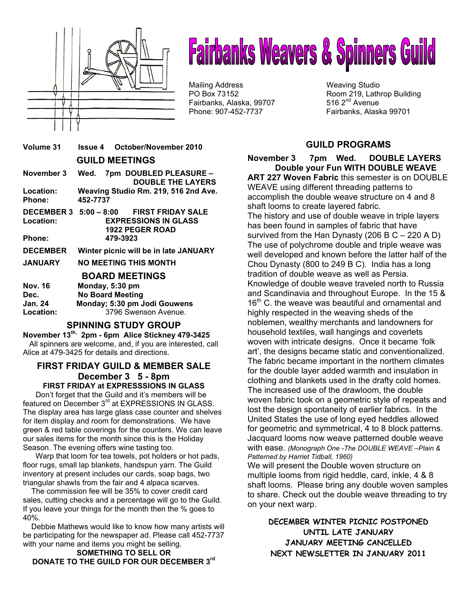

# **Fairbanks Weavers & Spinners Guild**

Mailing Address Weaving Studio Fairbanks, Alaska, 99707 Phone: 907-452-7737 Fairbanks, Alaska 99701

PO Box 73152 **Room 219, Lathrop Building**<br>
Fairbanks, Alaska, 99707 **Room 219, Lathrop Building** 

# **Volume 31 Issue 4 October/November 2010 GUILD MEETINGS November 3 Wed. 7pm DOUBLED PLEASURE – DOUBLE THE LAYERS Location: Weaving Studio Rm. 219, 516 2nd Ave. Phone: 452-7737 DECEMBER 3 5:00 – 8:00 FIRST FRIDAY SALE Location: EXPRESSIONS IN GLASS 1922 PEGER ROAD Phone: 479-3923 DECEMBER Winter picnic will be in late JANUARY JANUARY NO MEETING THIS MONTH BOARD MEETINGS Nov. 16 Monday, 5:30 pm Dec. No Board Meeting Jan. 24 Monday; 5:30 pm Jodi Gouwens Location:** 3796 Swenson Avenue. **SPINNING STUDY GROUP November 13th, 2pm - 6pm Alice Stickney 479-3425**

 All spinners are welcome, and, if you are interested, call Alice at 479-3425 for details and directions.

## **FIRST FRIDAY GUILD & MEMBER SALE December 3 5 - 8pm FIRST FRIDAY at EXPRESSSIONS IN GLASS**

 Don't forget that the Guild and it's members will be featured on December 3<sup>rd</sup> at EXPRESSIONS IN GLASS. The display area has large glass case counter and shelves for item display and room for demonstrations. We have green & red table coverings for the counters. We can leave our sales items for the month since this is the Holiday Season. The evening offers wine tasting too.

 Warp that loom for tea towels, pot holders or hot pads, floor rugs, small lap blankets, handspun yarn. The Guild inventory at present includes our cards, soap bags, two triangular shawls from the fair and 4 alpaca scarves.

 The commission fee will be 35% to cover credit card sales, cutting checks and a percentage will go to the Guild. If you leave your things for the month then the % goes to 40%.

 Debbie Mathews would like to know how many artists will be participating for the newspaper ad. Please call 452-7737 with your name and items you might be selling.

**SOMETHING TO SELL OR DONATE TO THE GUILD FOR OUR DECEMBER 3rd** 

# **GUILD PROGRAMS**

**November 3 7pm Wed. DOUBLE LAYERS Double your Fun WITH DOUBLE WEAVE ART 227 Woven Fabric** this semester is on DOUBLE WEAVE using different threading patterns to accomplish the double weave structure on 4 and 8 shaft looms to create layered fabric. The history and use of double weave in triple layers has been found in samples of fabric that have survived from the Han Dynasty (206 B  $C - 220$  A D) The use of polychrome double and triple weave was well developed and known before the latter half of the Chou Dynasty (800 to 249 B C). India has a long tradition of double weave as well as Persia. Knowledge of double weave traveled north to Russia and Scandinavia and throughout Europe. In the 15 &  $16<sup>th</sup>$  C. the weave was beautiful and ornamental and highly respected in the weaving sheds of the noblemen, wealthy merchants and landowners for household textiles, wall hangings and coverlets woven with intricate designs. Once it became 'folk art', the designs became static and conventionalized. The fabric became important in the northern climates for the double layer added warmth and insulation in clothing and blankets used in the drafty cold homes. The increased use of the drawloom, the double woven fabric took on a geometric style of repeats and lost the design spontaneity of earlier fabrics. In the United States the use of long eyed heddles allowed for geometric and symmetrical, 4 to 8 block patterns. Jacquard looms now weave patterned double weave with ease. *(Monograph One -The DOUBLE WEAVE –Plain & Patterned by Harriet Tidball, 1960)*

We will present the Double woven structure on multiple looms from rigid heddle, card, inkle, 4 & 8 shaft looms. Please bring any double woven samples to share. Check out the double weave threading to try on your next warp.

**DECEMBER WINTER PICNIC POSTPONED UNTIL LATE JANUARY JANUARY MEETING CANCELLED NEXT NEWSLETTER IN JANUARY 2011**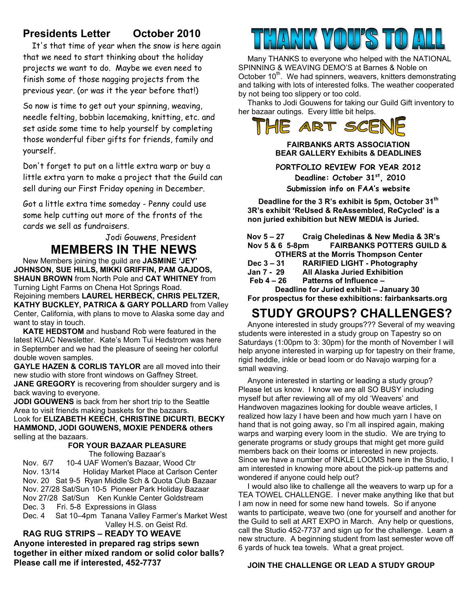# **Presidents Letter October 2010**

 It's that time of year when the snow is here again that we need to start thinking about the holiday projects we want to do. Maybe we even need to finish some of those nagging projects from the previous year. (or was it the year before that!)

So now is time to get out your spinning, weaving, needle felting, bobbin lacemaking, knitting, etc. and set aside some time to help yourself by completing those wonderful fiber gifts for friends, family and yourself.

Don't forget to put on a little extra warp or buy a little extra yarn to make a project that the Guild can sell during our First Friday opening in December.

Got a little extra time someday - Penny could use some help cutting out more of the fronts of the cards we sell as fundraisers.

> Jodi Gouwens, President **MEMBERS IN THE NEWS**

New Members joining the guild are **JASMINE 'JEY' JOHNSON, SUE HILLS, MIKKI GRIFFIN, PAM GAJDOS, SHAUN BROWN** from North Pole and **CAT WHITNEY** from Turning Light Farms on Chena Hot Springs Road. Rejoining members **LAUREL HERBECK, CHRIS PELTZER, KATHY BUCKLEY, PATRICA & GARY POLLARD** from Valley Center, California, with plans to move to Alaska some day and want to stay in touch.

**KATE HEDSTOM** and husband Rob were featured in the latest KUAC Newsletter. Kate's Mom Tui Hedstrom was here in September and we had the pleasure of seeing her colorful double woven samples.

**GAYLE HAZEN & CORLIS TAYLOR** are all moved into their new studio with store front windows on Gaffney Street. **JANE GREGORY** is recovering from shoulder surgery and is back waving to everyone.

**JODI GOUWENS** is back from her short trip to the Seattle Area to visit friends making baskets for the bazaars. Look for **ELIZABETH KEECH**, **CHRISTINE DICURTI**, **BECKY HAMMOND, JODI GOUWENS, MOXIE PENDER& others**  selling at the bazaars.

#### **FOR YOUR BAZAAR PLEASURE**  The following Bazaar's

Nov. 6/7 10-4 UAF Women's Bazaar, Wood Ctr Nov. 13/14 Holiday Market Place at Carlson Center Nov. 20 Sat 9-5 Ryan Middle Sch & Quota Club Bazaar Nov. 27/28 Sat/Sun 10-5 Pioneer Park Holiday Bazaar Nov 27/28 Sat/Sun Ken Kunkle Center Goldstream Dec. 3 Fri. 5-8 Expressions in Glass Dec. 4 Sat 10–4pm Tanana Valley Farmer's Market West

 Valley H.S. on Geist Rd. **RAG RUG STRIPS – READY TO WEAVE** 

**Anyone interested in prepared rag strips sewn together in either mixed random or solid color balls? Please call me if interested, 452-7737**



Many THANKS to everyone who helped with the NATIONAL SPINNING & WEAVING DEMO'S at Barnes & Noble on October 10<sup>th</sup>. We had spinners, weavers, knitters demonstrating and talking with lots of interested folks. The weather cooperated by not being too slippery or too cold.

Thanks to Jodi Gouwens for taking our Guild Gift inventory to her bazaar outings. Every little bit helps.



**FAIRBANKS ARTS ASSOCIATION BEAR GALLERY Exhibits & DEADLINES** 

**PORTFOLIO REVIEW FOR YEAR 2012 Deadline: October 31st, 2010 Submission info on FAA's website** 

**Deadline for the 3 R's exhibit is 5pm, October 31th 3R's exhibit 'ReUsed & ReAssembled, ReCycled' is a non juried exhibition but NEW MEDIA is Juried.** 

 **Nov 5 – 27 Craig Cheledinas & New Media & 3R's FAIRBANKS POTTERS GUILD & OTHERS at the Morris Thompson Center** 

- **Dec 3 31 RARIFIED LIGHT Photography**
- **All Alaska Juried Exhibition**
- **Feb 4 26 Patterns of Influence**

**Deadline for Juried exhibit – January 30 For prospectus for these exhibitions: fairbanksarts.org** 

# **STUDY GROUPS? CHALLENGES?**

Anyone interested in study groups??? Several of my weaving students were interested in a study group on Tapestry so on Saturdays (1:00pm to 3: 30pm) for the month of November I will help anyone interested in warping up for tapestry on their frame, rigid heddle, inkle or bead loom or do Navajo warping for a small weaving.

Anyone interested in starting or leading a study group? Please let us know. I know we are all SO BUSY including myself but after reviewing all of my old 'Weavers' and Handwoven magazines looking for double weave articles, I realized how lazy I have been and how much yarn I have on hand that is not going away, so I'm all inspired again, making warps and warping every loom in the studio. We are trying to generate programs or study groups that might get more guild members back on their looms or interested in new projects. Since we have a number of INKLE LOOMS here in the Studio, I am interested in knowing more about the pick-up patterns and wondered if anyone could help out?

I would also like to challenge all the weavers to warp up for a TEA TOWEL CHALLENGE. I never make anything like that but I am now in need for some new hand towels. So if anyone wants to participate, weave two (one for yourself and another for the Guild to sell at ART EXPO in March. Any help or questions, call the Studio 452-7737 and sign up for the challenge. Learn a new structure. A beginning student from last semester wove off 6 yards of huck tea towels. What a great project.

# **JOIN THE CHALLENGE OR LEAD A STUDY GROUP**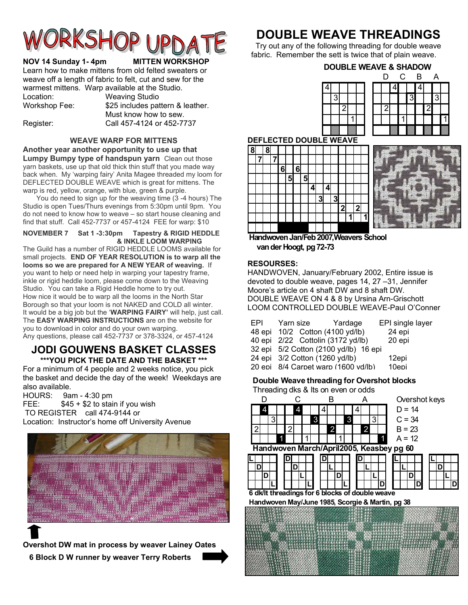

#### **NOV 14 Sunday 1-4pm MITTEN WORKSHOP**

Learn how to make mittens from old felted sweaters or weave off a length of fabric to felt, cut and sew for the warmest mittens. Warp available at the Studio. Location: Weaving Studio Workshop Fee: \$25 includes pattern & leather. Must know how to sew.

Register: Call 457-4124 or 452-7737

**WEAVE WARP FOR MITTENS** 

**Another year another opportunity to use up that Lumpy Bumpy type of handspun yarn** Clean out those yarn baskets, use up that old thick thin stuff that you made way back when. My 'warping fairy' Anita Magee threaded my loom for DEFLECTED DOUBLE WEAVE which is great for mittens. The warp is red, yellow, orange, with blue, green & purple.

 You do need to sign up for the weaving time (3 -4 hours) The Studio is open Tues/Thurs evenings from 5:30pm until 9pm. You do not need to know how to weave – so start house cleaning and find that stuff. Call 452-7737 or 457-4124 FEE for warp: \$10

#### **NOVEMBER 7 Sat 1 -3:30pm Tapestry & RIGID HEDDLE & INKLE LOOM WARPING**

The Guild has a number of RIGID HEDDLE LOOMS available for small projects. **END OF YEAR RESOLUTION is to warp all the looms so we are prepared for A NEW YEAR of weaving.** If you want to help or need help in warping your tapestry frame, inkle or rigid heddle loom, please come down to the Weaving Studio. You can take a Rigid Heddle home to try out. How nice it would be to warp all the looms in the North Star Borough so that your loom is not NAKED and COLD all winter. It would be a big job but the '**WARPING FAIRY'** will help, just call. The **EASY WARPING INSTRUCTIONS** are on the website for you to download in color and do your own warping. Any questions, please call 452-7737 or 378-3324, or 457-4124

## **JODI GOUWENS BASKET CLASSES \*\*\*YOU PICK THE DATE AND THE BASKET \*\*\***

For a minimum of 4 people and 2 weeks notice, you pick the basket and decide the day of the week! Weekdays are also available.

HOURS: 9am - 4:30 pm FEE:  $$45 + $2$$  to stain if you wish TO REGISTER call 474-9144 or Location: Instructor's home off University Avenue



**Overshot DW mat in process by weaver Lainey Oates 6 Block D W runner by weaver Terry Roberts** 

# **DOUBLE WEAVE THREADINGS**

Try out any of the following threading for double weave fabric. Remember the sett is twice that of plain weave.

**DOUBLE WEAVE & SHADOW**

|  |  |  | D | $\mathsf{C}$ | B |   | A                 |  |
|--|--|--|---|--------------|---|---|-------------------|--|
|  |  |  |   |              |   |   |                   |  |
|  |  |  |   |              |   |   | $\mathbf{\Omega}$ |  |
|  |  |  |   |              |   | 2 |                   |  |
|  |  |  |   |              |   |   |                   |  |
|  |  |  |   |              |   |   |                   |  |

#### **DEFLECTED DOUBLE WEAVE**





**Handwoven Jan/Feb 2007,Weavers School van der Hoogt, pg 72-73**

#### **RESOURSES:**

HANDWOVEN, January/February 2002, Entire issue is devoted to double weave, pages 14, 27 –31, Jennifer Moore's article on 4 shaft DW and 8 shaft DW. DOUBLE WEAVE ON 4 & 8 by Ursina Arn-Grischott LOOM CONTROLLED DOUBLE WEAVE-Paul O'Conner

| EPI<br>40 epi | Yarn size<br>48 epi 10/2 Cotton (4100 yd/lb)<br>24 epi 3/2 Cotton (1260 yd/lb) | Yardage<br>2/22 Cottolin (3172 yd/lb)<br>32 epi 5/2 Cotton (2100 yd/lb) 16 epi | EPI single layer<br>24 epi<br>20 epi<br>12epi |
|---------------|--------------------------------------------------------------------------------|--------------------------------------------------------------------------------|-----------------------------------------------|
|               |                                                                                |                                                                                |                                               |
|               |                                                                                | 20 epi 8/4 Carpet warp (1600 vd/lb)                                            | 10epi                                         |

#### **Double Weave threading for Overshot blocks**

Threading dks & lts on even or odds